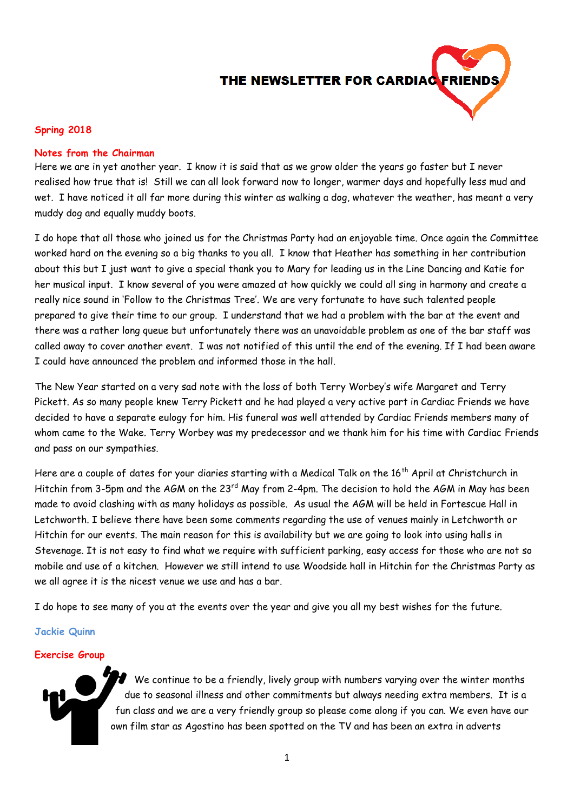# THE NEWSLETTER FOR CARDIAC

## **Spring 2018**

## **Notes from the Chairman**

Here we are in yet another year. I know it is said that as we grow older the years go faster but I never realised how true that is! Still we can all look forward now to longer, warmer days and hopefully less mud and wet. I have noticed it all far more during this winter as walking a dog, whatever the weather, has meant a very muddy dog and equally muddy boots.

I do hope that all those who joined us for the Christmas Party had an enjoyable time. Once again the Committee worked hard on the evening so a big thanks to you all. I know that Heather has something in her contribution about this but I just want to give a special thank you to Mary for leading us in the Line Dancing and Katie for her musical input. I know several of you were amazed at how quickly we could all sing in harmony and create a really nice sound in 'Follow to the Christmas Tree'. We are very fortunate to have such talented people prepared to give their time to our group. I understand that we had a problem with the bar at the event and there was a rather long queue but unfortunately there was an unavoidable problem as one of the bar staff was called away to cover another event. I was not notified of this until the end of the evening. If I had been aware I could have announced the problem and informed those in the hall.

The New Year started on a very sad note with the loss of both Terry Worbey's wife Margaret and Terry Pickett. As so many people knew Terry Pickett and he had played a very active part in Cardiac Friends we have decided to have a separate eulogy for him. His funeral was well attended by Cardiac Friends members many of whom came to the Wake. Terry Worbey was my predecessor and we thank him for his time with Cardiac Friends and pass on our sympathies.

Here are a couple of dates for your diaries starting with a Medical Talk on the 16<sup>th</sup> April at Christchurch in Hitchin from 3-5pm and the AGM on the 23<sup>rd</sup> May from 2-4pm. The decision to hold the AGM in May has been made to avoid clashing with as many holidays as possible. As usual the AGM will be held in Fortescue Hall in Letchworth. I believe there have been some comments regarding the use of venues mainly in Letchworth or Hitchin for our events. The main reason for this is availability but we are going to look into using halls in Stevenage. It is not easy to find what we require with sufficient parking, easy access for those who are not so mobile and use of a kitchen. However we still intend to use Woodside hall in Hitchin for the Christmas Party as we all agree it is the nicest venue we use and has a bar.

I do hope to see many of you at the events over the year and give you all my best wishes for the future.

## **Jackie Quinn**

#### **Exercise Group**



We continue to be a friendly, lively group with numbers varying over the winter months due to seasonal illness and other commitments but always needing extra members. It is a fun class and we are a very friendly group so please come along if you can. We even have our own film star as Agostino has been spotted on the TV and has been an extra in adverts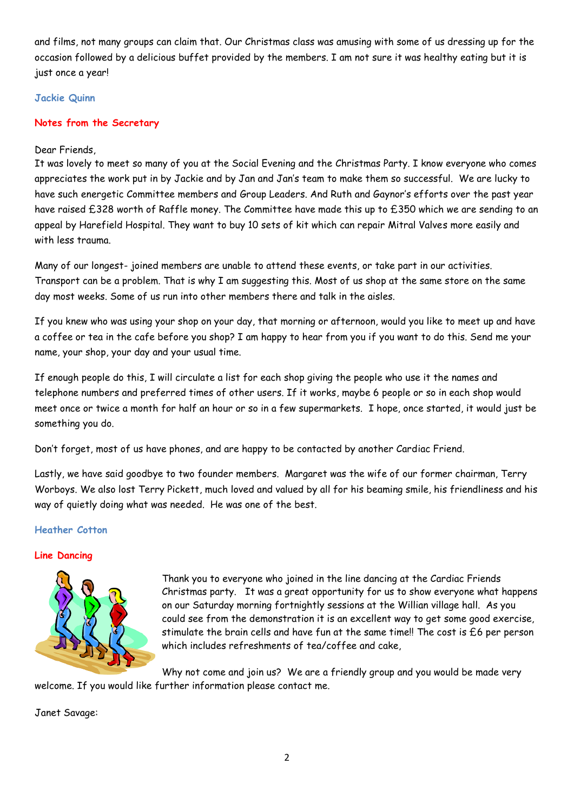and films, not many groups can claim that. Our Christmas class was amusing with some of us dressing up for the occasion followed by a delicious buffet provided by the members. I am not sure it was healthy eating but it is just once a year!

# **Jackie Quinn**

# **Notes from the Secretary**

## Dear Friends,

It was lovely to meet so many of you at the Social Evening and the Christmas Party. I know everyone who comes appreciates the work put in by Jackie and by Jan and Jan's team to make them so successful. We are lucky to have such energetic Committee members and Group Leaders. And Ruth and Gaynor's efforts over the past year have raised £328 worth of Raffle money. The Committee have made this up to £350 which we are sending to an appeal by Harefield Hospital. They want to buy 10 sets of kit which can repair Mitral Valves more easily and with less trauma.

Many of our longest- joined members are unable to attend these events, or take part in our activities. Transport can be a problem. That is why I am suggesting this. Most of us shop at the same store on the same day most weeks. Some of us run into other members there and talk in the aisles.

If you knew who was using your shop on your day, that morning or afternoon, would you like to meet up and have a coffee or tea in the cafe before you shop? I am happy to hear from you if you want to do this. Send me your name, your shop, your day and your usual time.

If enough people do this, I will circulate a list for each shop giving the people who use it the names and telephone numbers and preferred times of other users. If it works, maybe 6 people or so in each shop would meet once or twice a month for half an hour or so in a few supermarkets. I hope, once started, it would just be something you do.

Don't forget, most of us have phones, and are happy to be contacted by another Cardiac Friend.

Lastly, we have said goodbye to two founder members. Margaret was the wife of our former chairman, Terry Worboys. We also lost Terry Pickett, much loved and valued by all for his beaming smile, his friendliness and his way of quietly doing what was needed. He was one of the best.

## **Heather Cotton**

## **Line Dancing**



Thank you to everyone who joined in the line dancing at the Cardiac Friends Christmas party. It was a great opportunity for us to show everyone what happens on our Saturday morning fortnightly sessions at the Willian village hall. As you could see from the demonstration it is an excellent way to get some good exercise, stimulate the brain cells and have fun at the same time!! The cost is  $£6$  per person which includes refreshments of tea/coffee and cake,

Why not come and join us? We are a friendly group and you would be made very welcome. If you would like further information please contact me.

Janet Savage: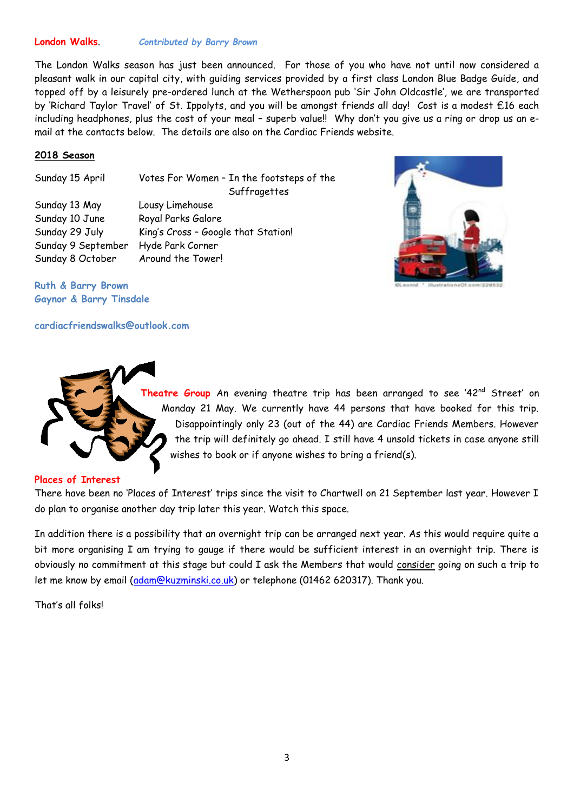## **London Walks**. *Contributed by Barry Brown*

The London Walks season has just been announced. For those of you who have not until now considered a pleasant walk in our capital city, with guiding services provided by a first class London Blue Badge Guide, and topped off by a leisurely pre-ordered lunch at the Wetherspoon pub 'Sir John Oldcastle', we are transported by 'Richard Taylor Travel' of St. Ippolyts, and you will be amongst friends all day! Cost is a modest £16 each including headphones, plus the cost of your meal – superb value!! Why don't you give us a ring or drop us an email at the contacts below. The details are also on the Cardiac Friends website.

## **2018 Season**

Sunday 15 April Votes For Women – In the footsteps of the **Suffragettes** Sunday 13 May Lousy Limehouse Sunday 10 June Royal Parks Galore Sunday 29 July King's Cross - Google that Station! Sunday 9 September Hyde Park Corner Sunday 8 October Around the Tower!

**Ruth & Barry Brown Gaynor & Barry Tinsdale** 

## **cardiacfriendswalks@outlook.com**



Theatre Group An evening theatre trip has been arranged to see '42<sup>nd</sup> Street' on Monday 21 May. We currently have 44 persons that have booked for this trip. Disappointingly only 23 (out of the 44) are Cardiac Friends Members. However the trip will definitely go ahead. I still have 4 unsold tickets in case anyone still wishes to book or if anyone wishes to bring a friend(s).

## **Places of Interest**

There have been no 'Places of Interest' trips since the visit to Chartwell on 21 September last year. However I do plan to organise another day trip later this year. Watch this space.

In addition there is a possibility that an overnight trip can be arranged next year. As this would require quite a bit more organising I am trying to gauge if there would be sufficient interest in an overnight trip. There is obviously no commitment at this stage but could I ask the Members that would consider going on such a trip to let me know by email [\(adam@kuzminski.co.uk\)](mailto:adam@kuzminski.co.uk) or telephone (01462 620317). Thank you.

That's all folks!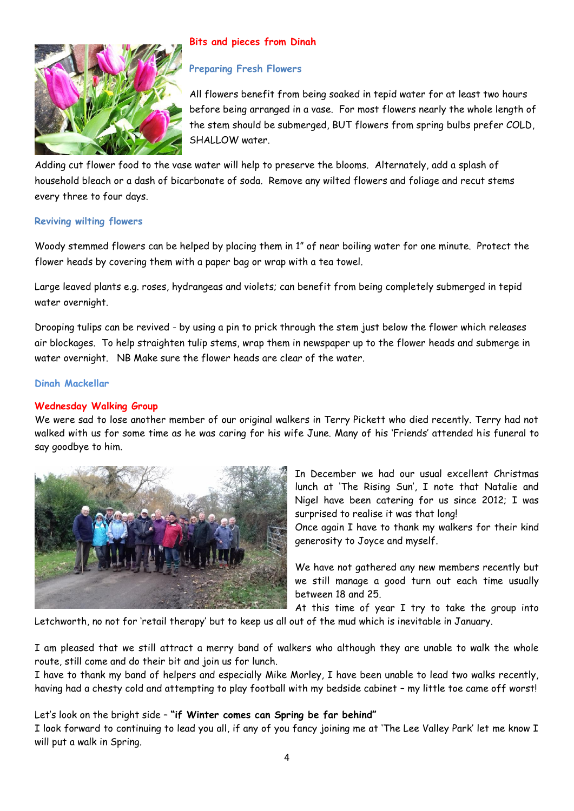

# **Bits and pieces from Dinah**

## **Preparing Fresh Flowers**

All flowers benefit from being soaked in tepid water for at least two hours before being arranged in a vase. For most flowers nearly the whole length of the stem should be submerged, BUT flowers from spring bulbs prefer COLD, SHALLOW water.

Adding cut flower food to the vase water will help to preserve the blooms. Alternately, add a splash of household bleach or a dash of bicarbonate of soda. Remove any wilted flowers and foliage and recut stems every three to four days.

## **Reviving wilting flowers**

Woody stemmed flowers can be helped by placing them in 1" of near boiling water for one minute. Protect the flower heads by covering them with a paper bag or wrap with a tea towel.

Large leaved plants e.g. roses, hydrangeas and violets; can benefit from being completely submerged in tepid water overnight.

Drooping tulips can be revived - by using a pin to prick through the stem just below the flower which releases air blockages. To help straighten tulip stems, wrap them in newspaper up to the flower heads and submerge in water overnight. NB Make sure the flower heads are clear of the water.

## **Dinah Mackellar**

# **Wednesday Walking Group**

We were sad to lose another member of our original walkers in Terry Pickett who died recently. Terry had not walked with us for some time as he was caring for his wife June. Many of his 'Friends' attended his funeral to say goodbye to him.



In December we had our usual excellent Christmas lunch at 'The Rising Sun', I note that Natalie and Nigel have been catering for us since 2012; I was surprised to realise it was that long!

Once again I have to thank my walkers for their kind generosity to Joyce and myself.

We have not gathered any new members recently but we still manage a good turn out each time usually between 18 and 25.

At this time of year I try to take the group into Letchworth, no not for 'retail therapy' but to keep us all out of the mud which is inevitable in January.

I am pleased that we still attract a merry band of walkers who although they are unable to walk the whole route, still come and do their bit and join us for lunch.

I have to thank my band of helpers and especially Mike Morley, I have been unable to lead two walks recently, having had a chesty cold and attempting to play football with my bedside cabinet – my little toe came off worst!

# Let's look on the bright side – **"if Winter comes can Spring be far behind"**

I look forward to continuing to lead you all, if any of you fancy joining me at 'The Lee Valley Park' let me know I will put a walk in Spring.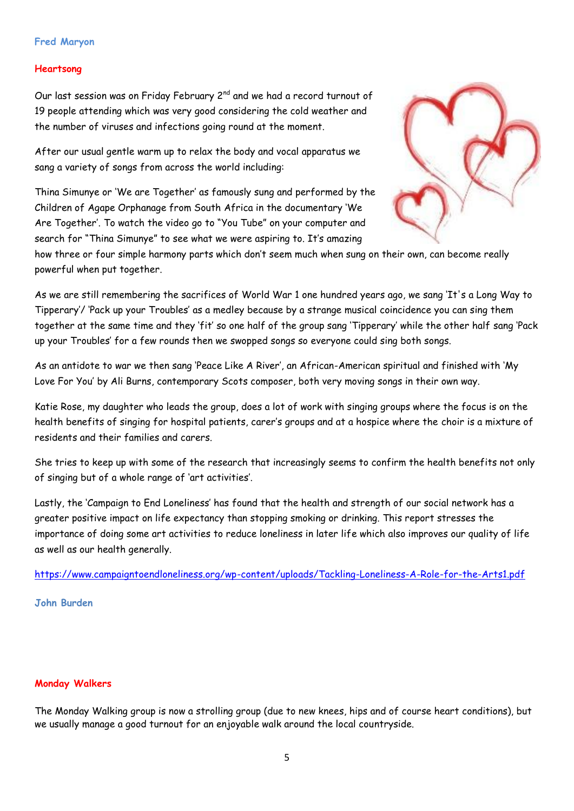## **Fred Maryon**

## **Heartsong**

Our last session was on Friday February 2<sup>nd</sup> and we had a record turnout of 19 people attending which was very good considering the cold weather and the number of viruses and infections going round at the moment.

After our usual gentle warm up to relax the body and vocal apparatus we sang a variety of songs from across the world including:

Thina Simunye or 'We are Together' as famously sung and performed by the Children of Agape Orphanage from South Africa in the documentary 'We Are Together'. To watch the video go to "You Tube" on your computer and search for "Thina Simunye" to see what we were aspiring to. It's amazing



how three or four simple harmony parts which don't seem much when sung on their own, can become really powerful when put together.

As we are still remembering the sacrifices of World War 1 one hundred years ago, we sang 'It's a Long Way to Tipperary'/ 'Pack up your Troubles' as a medley because by a strange musical coincidence you can sing them together at the same time and they 'fit' so one half of the group sang 'Tipperary' while the other half sang 'Pack up your Troubles' for a few rounds then we swopped songs so everyone could sing both songs.

As an antidote to war we then sang 'Peace Like A River', an African-American spiritual and finished with 'My Love For You' by Ali Burns, contemporary Scots composer, both very moving songs in their own way.

Katie Rose, my daughter who leads the group, does a lot of work with singing groups where the focus is on the health benefits of singing for hospital patients, carer's groups and at a hospice where the choir is a mixture of residents and their families and carers.

She tries to keep up with some of the research that increasingly seems to confirm the health benefits not only of singing but of a whole range of 'art activities'.

Lastly, the 'Campaign to End Loneliness' has found that the health and strength of our social network has a greater positive impact on life expectancy than stopping smoking or drinking. This report stresses the importance of doing some art activities to reduce loneliness in later life which also improves our quality of life as well as our health generally.

<https://www.campaigntoendloneliness.org/wp-content/uploads/Tackling-Loneliness-A-Role-for-the-Arts1.pdf>

## **John Burden**

## **Monday Walkers**

The Monday Walking group is now a strolling group (due to new knees, hips and of course heart conditions), but we usually manage a good turnout for an enjoyable walk around the local countryside.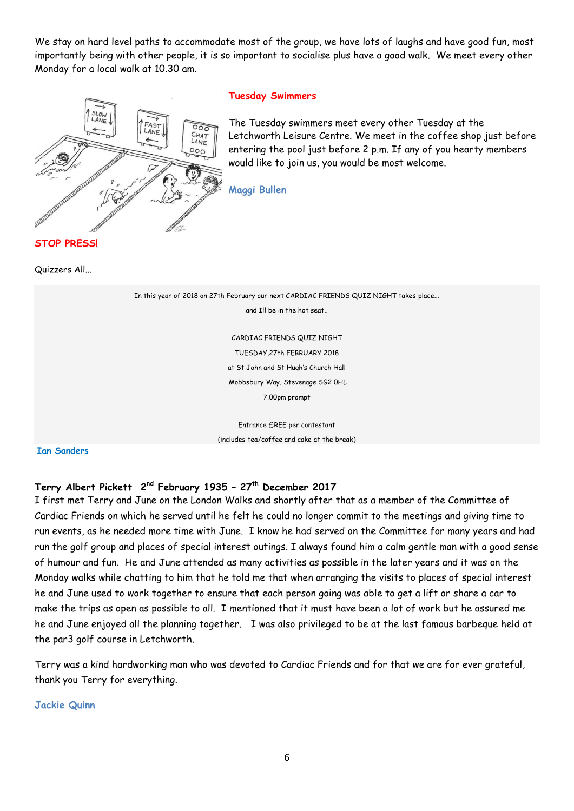We stay on hard level paths to accommodate most of the group, we have lots of laughs and have good fun, most importantly being with other people, it is so important to socialise plus have a good walk. We meet every other Monday for a local walk at 10.30 am.



## **Tuesday Swimmers**

The Tuesday swimmers meet every other Tuesday at the Letchworth Leisure Centre. We meet in the coffee shop just before entering the pool just before 2 p.m. If any of you hearty members would like to join us, you would be most welcome.

**Maggi Bullen**

**STOP PRESS!** 

Quizzers All...

In this year of 2018 on 27th February our next CARDIAC FRIENDS QUIZ NIGHT takes place... and Ill be in the hot seat.. CARDIAC FRIENDS QUIZ NIGHT TUESDAY,27th FEBRUARY 2018 at St John and St Hugh's Church Hall Mobbsbury Way, Stevenage SG2 0HL 7.00pm prompt Entrance £REE per contestant (includes tea/coffee and cake at the break)

**Ian Sanders** 

## **Terry Albert Pickett 2 nd February 1935 – 27th December 2017**

I first met Terry and June on the London Walks and shortly after that as a member of the Committee of Cardiac Friends on which he served until he felt he could no longer commit to the meetings and giving time to run events, as he needed more time with June. I know he had served on the Committee for many years and had run the golf group and places of special interest outings. I always found him a calm gentle man with a good sense of humour and fun. He and June attended as many activities as possible in the later years and it was on the Monday walks while chatting to him that he told me that when arranging the visits to places of special interest he and June used to work together to ensure that each person going was able to get a lift or share a car to make the trips as open as possible to all. I mentioned that it must have been a lot of work but he assured me he and June enjoyed all the planning together. I was also privileged to be at the last famous barbeque held at the par3 golf course in Letchworth.

Terry was a kind hardworking man who was devoted to Cardiac Friends and for that we are for ever grateful, thank you Terry for everything.

**Jackie Quinn**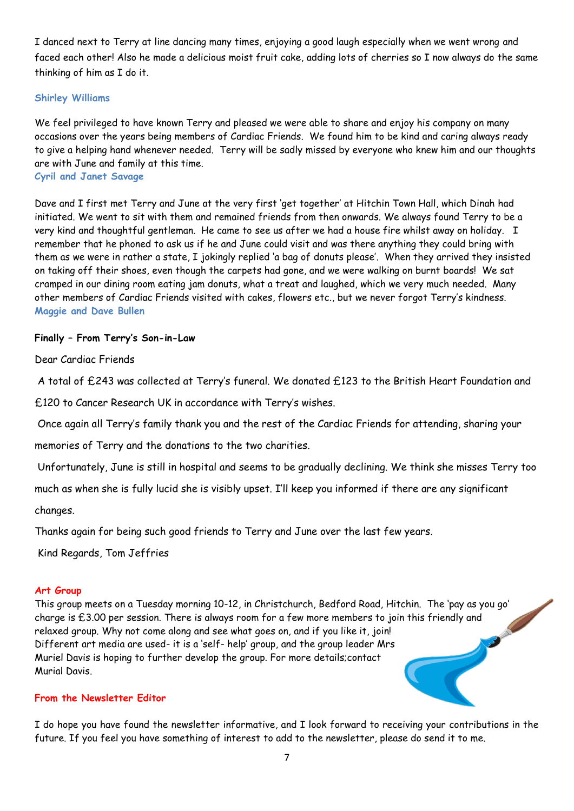I danced next to Terry at line dancing many times, enjoying a good laugh especially when we went wrong and faced each other! Also he made a delicious moist fruit cake, adding lots of cherries so I now always do the same thinking of him as I do it.

# **Shirley Williams**

We feel privileged to have known Terry and pleased we were able to share and enjoy his company on many occasions over the years being members of Cardiac Friends. We found him to be kind and caring always ready to give a helping hand whenever needed. Terry will be sadly missed by everyone who knew him and our thoughts are with June and family at this time.

**Cyril and Janet Savage**

Dave and I first met Terry and June at the very first 'get together' at Hitchin Town Hall, which Dinah had initiated. We went to sit with them and remained friends from then onwards. We always found Terry to be a very kind and thoughtful gentleman. He came to see us after we had a house fire whilst away on holiday. I remember that he phoned to ask us if he and June could visit and was there anything they could bring with them as we were in rather a state, I jokingly replied 'a bag of donuts please'. When they arrived they insisted on taking off their shoes, even though the carpets had gone, and we were walking on burnt boards! We sat cramped in our dining room eating jam donuts, what a treat and laughed, which we very much needed. Many other members of Cardiac Friends visited with cakes, flowers etc., but we never forgot Terry's kindness. **Maggie and Dave Bullen**

## **Finally – From Terry's Son-in-Law**

Dear Cardiac Friends

A total of £243 was collected at Terry's funeral. We donated £123 to the British Heart Foundation and

£120 to Cancer Research UK in accordance with Terry's wishes.

Once again all Terry's family thank you and the rest of the Cardiac Friends for attending, sharing your

memories of Terry and the donations to the two charities.

Unfortunately, June is still in hospital and seems to be gradually declining. We think she misses Terry too

much as when she is fully lucid she is visibly upset. I'll keep you informed if there are any significant

changes.

Thanks again for being such good friends to Terry and June over the last few years.

Kind Regards, Tom Jeffries

# **Art Group**

This group meets on a Tuesday morning 10-12, in Christchurch, Bedford Road, Hitchin. The 'pay as you go'<br>charge is £3.00 per session. There is always room for a few more members to join this friendly and<br>relaxed group. Why charge is £3.00 per session. There is always room for a few more members to join this friendly and relaxed group. Why not come along and see what goes on, and if you like it, join! Different art media are used- it is a 'self- help' group, and the group leader Mrs Muriel Davis is hoping to further develop the group. For more details;contact Murial Davis.

## **From the Newsletter Editor**

I do hope you have found the newsletter informative, and I look forward to receiving your contributions in the future. If you feel you have something of interest to add to the newsletter, please do send it to me.